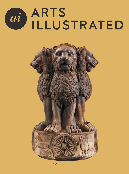## ARTS ai ILLUSTRATED



*Sculpture and text by* Riyas Komu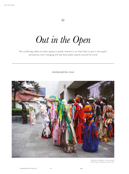$\sum_{i=1}^{n} \sum_{j=1}^{n} \left( \sum_{j=1}^{n} \frac{1}{j} \right) \left( \sum_{j=1}^{n} \frac{1}{j} \right) \left( \sum_{j=1}^{n} \frac{1}{j} \right)$ 

*Out in the Open*

The conflicting reality of urban spaces is quietly inherent in art that finds its spot in the quaint, amorphous, ever-changing and laid-back public spaces around the world

## SIDDHARTHA DAS



*Temporary Installation in the courtyard of the Ministry of Defence, Mexico City.*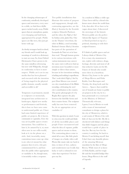In the changing urbanscapes of conformity, mindlessly developed spaces and structures, every once in a while, we find these idyllic spaces tucked neatly away. Public spaces that are amorphous, quaint, ever-changing and laid-back, appropriated by people. Public spaces are like trees, they just get better with age.

As cheeky teenagers back in school, my friends and I would look up meanings of words in a dictionary to start an essay. So, from Oxford Dictionaries I have grown to do the same mindless referencing but now with Wikipedia, though its conformity to facts is more suspect. 'Public art is art in any media that has been planned and executed with the intention of being staged in the physical public domain, usually outside and accessible to all.'

Temporary or permanent, murals or sculptures or memorials, integrated into architecture or landscapes, digital new media or performances and festivals, this is how we have now come to understand public art. I have had some limited experience of public art projects. Be it fascist, communist or capitalist, I love the way art in public spaces creates interactions. You could love it, hate it, be amused by it, or, most often now in our selfie-world, look at it via the phone on a stick. And, invariably, many contentious issues come up: what is art, who is it meant for, what purpose does it serve, who gets commissioned for it, and how does the public either appropriate or vandalise it. So, though mute, it invariably evokes a response.

Two public installations that illustrate this notion of purpose and engagement, though with contrasting approaches, are the *Head of Invention* by the Scottish sculptor, Eduardo Paolozzi, and the other, the *Flight of Steel* by Indian artist, Jatin Das. One on the Thames' river-front, the other in Bhilai, a steel township. Paolozzi's bronze *Head of Invention* has parts of the quotation of Leonardo da Vinci set at its base that read: 'Though human genius in its various inventions with various instruments may answer the same end, it will never find an invention more beautiful or more simple or direct than nature, because in her inventions nothing is lacking and nothing is superfluous. 'Das' work titled *Flight of Steel* by poet Dom Moraes was created on a key round-about of the Bhilai township, celebrating the steel city's contribution to the country. The poetic photograph of it by Raghu Rai captures the play between the bird-like forms and their counter forms. The sculpture sadly has now been removed. So, do we appropriate art or vandalise it?

With this question in mind, I want to criss-cross the world and think of all the incredible places and people I have encountered and what the idea of expanse, public spaces and art means to them. The contrasting places come to mind all at once, like little pixels of images on a funky video wall. Photos like music take me back in time, to times of love, sadness and wonderment was I really that lucky or such a schmuck to not value that experience? So here goes my list.

As a student in Milan a while ago (I have been told by a friend who knows more about the world than I do, that after 40 we have to be vague about time), I discovered the stereotype of the historic Western public art; the perfect Adonis-like figures of Neptune or David perched on top of a pedestal, shaming us with their sculpted features.

If I think of public spaces and art I always think of Mexico City. It is a crazy city, monstrous in size, replete with violence, drugs, heritage, diversity and most of all that seductive Latin zest for life. I know of friends who would move there in a heartbeat. Mexico City, home to the spirits of Diego Rivera and Frida Kahlo, Luis Barragan and Trotsky, the drug lords and the Aztecs… Spaces that would be out of bounds are home to public art projects in the city, be it a busy promenade or a courtyard in the Ministry of Defense! Thematically relevant, I guess, I was in Mexico to work with a team of international consultants to design a plaza for the city of Monterrey, which is a sad cousin of Mexico City with little of that zest for life. My life is checkered with failures and things that didn't happen and the plaza would have a pride of place in that list. But my love for the country is undying. So back to Mexico! I am kicking myself that I don't have any sharable photos of the amazing Mexican muralism by the likes of Diego Rivera. While most of us know of Frida Kahlo, and her tragic life and the beautiful Indigo blue house, Diego Rivera is the stuff of legends.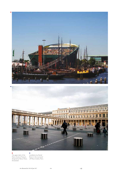

*off Place Colette, Paris. designed by Renzo Piano, The upper deck of the Nemo Science Museum, Amsterdam*

*Installation by Daniel Buren in the courtyard*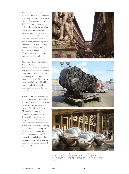Like many who visit Paris, I too fell in love with it, and the roughness of the city is completely missed on me, as I live in the mother of it all Delhi. Paris has transformed many of its institutional courtyards into quaint public art projects. Be it the courtyard of Place Colette with its collection of squat blackand-white cylinders by artist Daniel Buren, or the courtyard of the Palais Royal with the shiny steel spheres by Paul Bury Fountain, much before the likes of Anish Kapoor made us see steel spheres differently.

Years ago, when I worked at the Victoria & Albert Museum in London, like many others in the staff, we would come out into the inner courtyard, fashioned like an Italian piazza, for our lunch. Today, the courtyard is home to many installations, and families have completely made the courtyard garden and the water body their own.

Water has this amazing jewelled quality that one can never tire of. A place to sit with your loved ones by the water-front is always exciting. The Nemo Science Museum in the centre of Amsterdam leverages this combination. Designed by one of the most sought-after architects today, known for his museum commissions, Renzo Piano has made, at the top of the Museum, a viewing deck affording great vistas of the city. The museum often installs fun interactive installations on the deck and not surprisingly, on any sunny day, the deck is completely covered with people.







*Head of Invention by the Scottish sculptor, Eduardo Paolozzi, Shad Thames, London*

*Fountain installation by Paul Bury in the courtyard of the Palais Royal, Paris*

*Hercules and Cacus by Bartolommeo Bandinelli, 16th cent. Florence, Italy.*